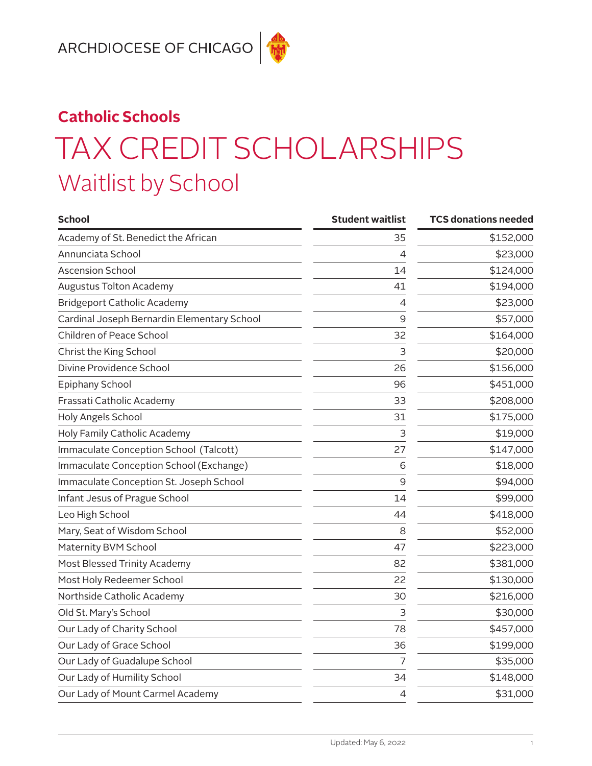## **Catholic Schools** TAX CREDIT SCHOLARSHIPS Waitlist by School

| <b>School</b>                               | <b>Student waitlist</b> | <b>TCS donations needed</b> |
|---------------------------------------------|-------------------------|-----------------------------|
| Academy of St. Benedict the African         | 35                      | \$152,000                   |
| Annunciata School                           | 4                       | \$23,000                    |
| <b>Ascension School</b>                     | 14                      | \$124,000                   |
| <b>Augustus Tolton Academy</b>              | 41                      | \$194,000                   |
| <b>Bridgeport Catholic Academy</b>          | 4                       | \$23,000                    |
| Cardinal Joseph Bernardin Elementary School | 9                       | \$57,000                    |
| Children of Peace School                    | 32                      | \$164,000                   |
| Christ the King School                      | 3                       | \$20,000                    |
| Divine Providence School                    | 26                      | \$156,000                   |
| Epiphany School                             | 96                      | \$451,000                   |
| Frassati Catholic Academy                   | 33                      | \$208,000                   |
| Holy Angels School                          | 31                      | \$175,000                   |
| Holy Family Catholic Academy                | 3                       | \$19,000                    |
| Immaculate Conception School (Talcott)      | 27                      | \$147,000                   |
| Immaculate Conception School (Exchange)     | 6                       | \$18,000                    |
| Immaculate Conception St. Joseph School     | 9                       | \$94,000                    |
| Infant Jesus of Prague School               | 14                      | \$99,000                    |
| Leo High School                             | 44                      | \$418,000                   |
| Mary, Seat of Wisdom School                 | 8                       | \$52,000                    |
| Maternity BVM School                        | 47                      | \$223,000                   |
| Most Blessed Trinity Academy                | 82                      | \$381,000                   |
| Most Holy Redeemer School                   | 22                      | \$130,000                   |
| Northside Catholic Academy                  | 30                      | \$216,000                   |
| Old St. Mary's School                       | 3                       | \$30,000                    |
| Our Lady of Charity School                  | 78                      | \$457,000                   |
| Our Lady of Grace School                    | 36                      | \$199,000                   |
| Our Lady of Guadalupe School                | $\overline{7}$          | \$35,000                    |
| Our Lady of Humility School                 | 34                      | \$148,000                   |
| Our Lady of Mount Carmel Academy            | 4                       | \$31,000                    |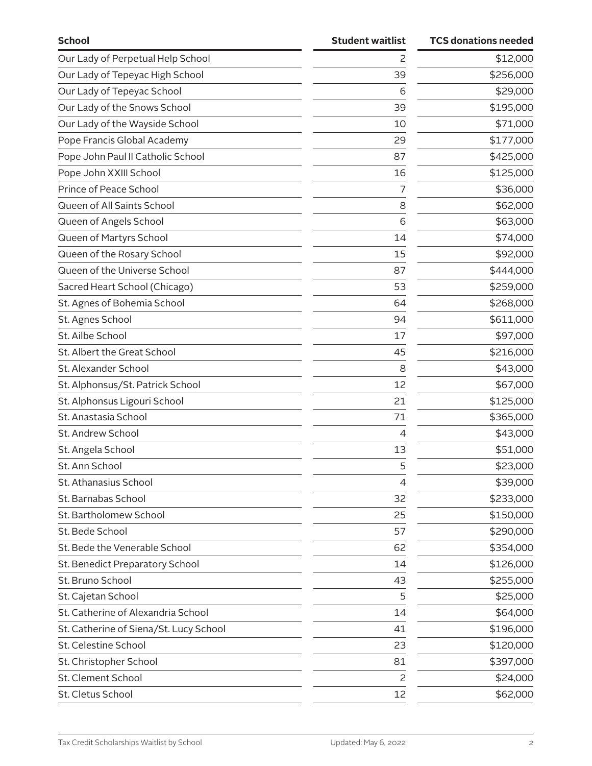| <b>School</b>                          | <b>Student waitlist</b> | <b>TCS donations needed</b> |
|----------------------------------------|-------------------------|-----------------------------|
| Our Lady of Perpetual Help School      | 2                       | \$12,000                    |
| Our Lady of Tepeyac High School        | 39                      | \$256,000                   |
| Our Lady of Tepeyac School             | 6                       | \$29,000                    |
| Our Lady of the Snows School           | 39                      | \$195,000                   |
| Our Lady of the Wayside School         | 10                      | \$71,000                    |
| Pope Francis Global Academy            | 29                      | \$177,000                   |
| Pope John Paul II Catholic School      | 87                      | \$425,000                   |
| Pope John XXIII School                 | 16                      | \$125,000                   |
| Prince of Peace School                 | 7                       | \$36,000                    |
| Queen of All Saints School             | 8                       | \$62,000                    |
| Queen of Angels School                 | 6                       | \$63,000                    |
| Queen of Martyrs School                | 14                      | \$74,000                    |
| Queen of the Rosary School             | 15                      | \$92,000                    |
| Queen of the Universe School           | 87                      | \$444,000                   |
| Sacred Heart School (Chicago)          | 53                      | \$259,000                   |
| St. Agnes of Bohemia School            | 64                      | \$268,000                   |
| St. Agnes School                       | 94                      | \$611,000                   |
| St. Ailbe School                       | 17                      | \$97,000                    |
| St. Albert the Great School            | 45                      | \$216,000                   |
| St. Alexander School                   | 8                       | \$43,000                    |
| St. Alphonsus/St. Patrick School       | 12                      | \$67,000                    |
| St. Alphonsus Ligouri School           | 21                      | \$125,000                   |
| St. Anastasia School                   | 71                      | \$365,000                   |
| St. Andrew School                      | 4                       | \$43,000                    |
| St. Angela School                      | 13                      | \$51,000                    |
| St. Ann School                         | 5                       | \$23,000                    |
| St. Athanasius School                  | 4                       | \$39,000                    |
| St. Barnabas School                    | 32                      | \$233,000                   |
| St. Bartholomew School                 | 25                      | \$150,000                   |
| St. Bede School                        | 57                      | \$290,000                   |
| St. Bede the Venerable School          | 62                      | \$354,000                   |
| St. Benedict Preparatory School        | 14                      | \$126,000                   |
| St. Bruno School                       | 43                      | \$255,000                   |
| St. Cajetan School                     | 5                       | \$25,000                    |
| St. Catherine of Alexandria School     | 14                      | \$64,000                    |
| St. Catherine of Siena/St. Lucy School | 41                      | \$196,000                   |
| St. Celestine School                   | 23                      | \$120,000                   |
| St. Christopher School                 | 81                      | \$397,000                   |
| St. Clement School                     | 2                       | \$24,000                    |
| St. Cletus School                      | 12                      | \$62,000                    |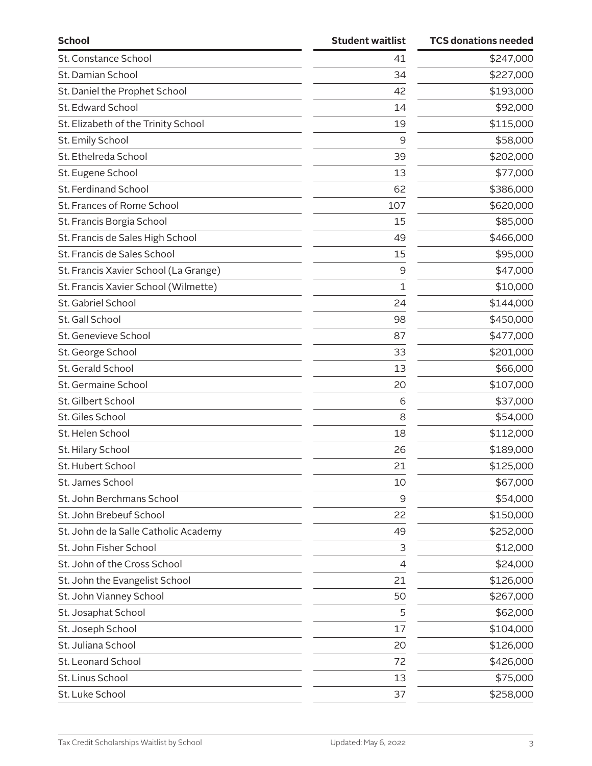| <b>School</b>                         | <b>Student waitlist</b> | <b>TCS donations needed</b> |
|---------------------------------------|-------------------------|-----------------------------|
| St. Constance School                  | 41                      | \$247,000                   |
| St. Damian School                     | 34                      | \$227,000                   |
| St. Daniel the Prophet School         | 42                      | \$193,000                   |
| St. Edward School                     | 14                      | \$92,000                    |
| St. Elizabeth of the Trinity School   | 19                      | \$115,000                   |
| St. Emily School                      | 9                       | \$58,000                    |
| St. Ethelreda School                  | 39                      | \$202,000                   |
| St. Eugene School                     | 13                      | \$77,000                    |
| St. Ferdinand School                  | 62                      | \$386,000                   |
| St. Frances of Rome School            | 107                     | \$620,000                   |
| St. Francis Borgia School             | 15                      | \$85,000                    |
| St. Francis de Sales High School      | 49                      | \$466,000                   |
| St. Francis de Sales School           | 15                      | \$95,000                    |
| St. Francis Xavier School (La Grange) | 9                       | \$47,000                    |
| St. Francis Xavier School (Wilmette)  | 1                       | \$10,000                    |
| St. Gabriel School                    | 24                      | \$144,000                   |
| St. Gall School                       | 98                      | \$450,000                   |
| St. Genevieve School                  | 87                      | \$477,000                   |
| St. George School                     | 33                      | \$201,000                   |
| St. Gerald School                     | 13                      | \$66,000                    |
| St. Germaine School                   | 20                      | \$107,000                   |
| St. Gilbert School                    | 6                       | \$37,000                    |
| St. Giles School                      | 8                       | \$54,000                    |
| St. Helen School                      | 18                      | \$112,000                   |
| St. Hilary School                     | 26                      | \$189,000                   |
| St. Hubert School                     | 21                      | \$125,000                   |
| St. James School                      | 10                      | \$67,000                    |
| St. John Berchmans School             | 9                       | \$54,000                    |
| St. John Brebeuf School               | 22                      | \$150,000                   |
| St. John de la Salle Catholic Academy | 49                      | \$252,000                   |
| St. John Fisher School                | 3                       | \$12,000                    |
| St. John of the Cross School          | $\overline{4}$          | \$24,000                    |
| St. John the Evangelist School        | 21                      | \$126,000                   |
| St. John Vianney School               | 50                      | \$267,000                   |
| St. Josaphat School                   | 5                       | \$62,000                    |
| St. Joseph School                     | 17                      | \$104,000                   |
| St. Juliana School                    | 20                      | \$126,000                   |
| St. Leonard School                    | 72                      | \$426,000                   |
| St. Linus School                      | 13                      | \$75,000                    |
| St. Luke School                       | 37                      | \$258,000                   |